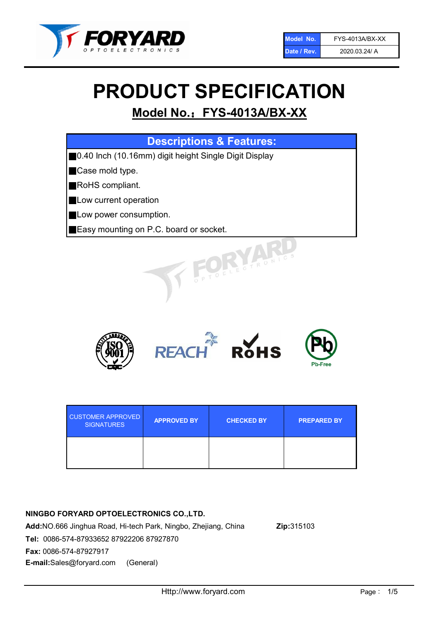

# PRODUCT SPECIFICATION

# Model No.: FYS-4013A/BX-XX

| <b>Descriptions &amp; Features:</b>                    |
|--------------------------------------------------------|
| ■0.40 Inch (10.16mm) digit height Single Digit Display |
| Case mold type.                                        |
| RoHS compliant.                                        |
| Low current operation                                  |
| Low power consumption.                                 |
| Easy mounting on P.C. board or socket.                 |
| TOELECTRONIC                                           |



| <b>CUSTOMER APPROVED</b><br><b>SIGNATURES</b> | <b>APPROVED BY</b> | <b>CHECKED BY</b> | <b>PREPARED BY</b> |
|-----------------------------------------------|--------------------|-------------------|--------------------|
|                                               |                    |                   |                    |

### NINGBO FORYARD OPTOELECTRONICS CO.,LTD.

Add:NO.666 Jinghua Road, Hi-tech Park, Ningbo, Zhejiang, China Zip:315103 Tel: 0086-574-87933652 87922206 87927870 Fax: 0086-574-87927917 E-mail:Sales@foryard.com (General)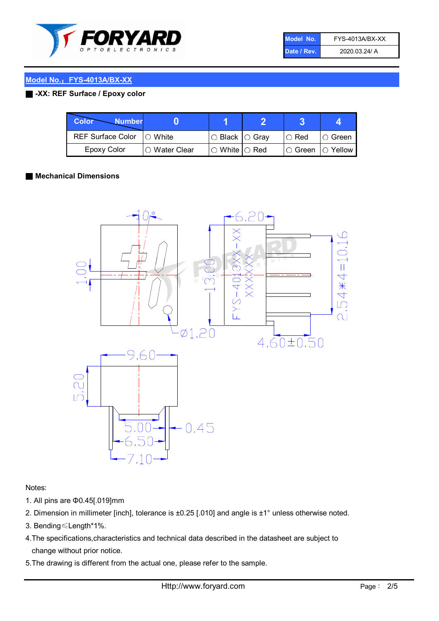

| Model No.   | FYS-4013A/BX-XX |
|-------------|-----------------|
| Date / Rev. | 2020.03.24/ A   |

#### Model No.: FYS-4013A/BX-XX

#### ■ -XX: REF Surface / Epoxy color

| Color<br><b>Number</b>     |                |                           |             |                |
|----------------------------|----------------|---------------------------|-------------|----------------|
| REF Surface Color  ○ White |                | ○ Black  ○ Gray           | $\circ$ Red | $\circ$ Green  |
| Epoxy Color                | I⊖ Water Clear | $\circ$ White $\circ$ Red | I⊖ Green    | $\circ$ Yellow |

#### ■ Mechanical Dimensions



Notes:

- 1. All pins are Φ0.45[.019]mm
- 2. Dimension in millimeter [inch], tolerance is ±0.25 [.010] and angle is ±1° unless otherwise noted.
- 3. Bending≤Length\*1%.
- 4.The specifications,characteristics and technical data described in the datasheet are subject to change without prior notice.
- 5.The drawing is different from the actual one, please refer to the sample.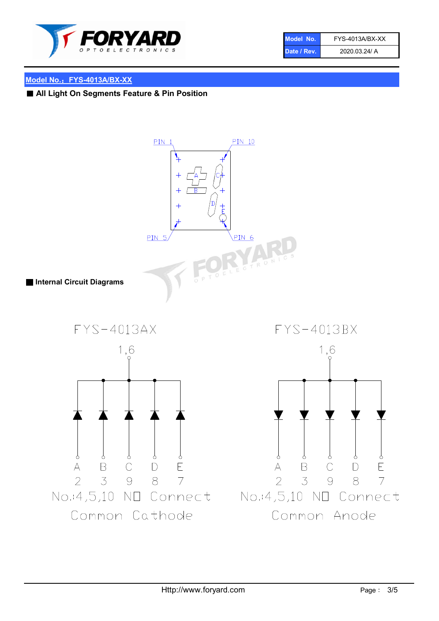

| Model No.   | FYS-4013A/BX-XX |
|-------------|-----------------|
| Date / Rev. | 2020.03.24/ A   |

#### Model No.: FYS-4013A/BX-XX

■ All Light On Segments Feature & Pin Position

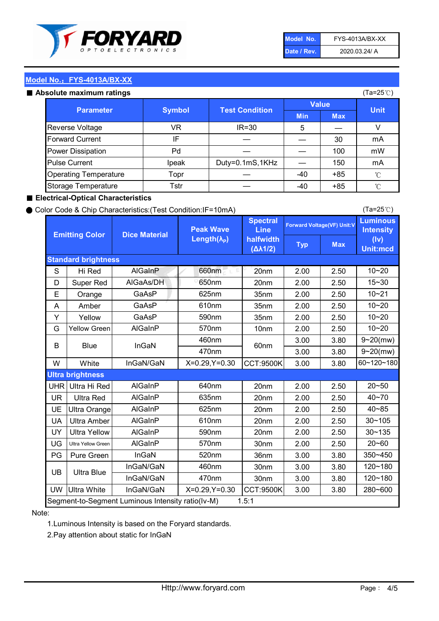

| Model No.   | FYS-4013A/BX-XX |
|-------------|-----------------|
| Date / Rev. | 2020.03.24/ A   |

(Ta=25℃)

#### Model No.: FYS-4013A/BX-XX

#### Absolute maximum

| solute maximum ratings       |               |                       |              |            | (Ta=25℃)    |
|------------------------------|---------------|-----------------------|--------------|------------|-------------|
| <b>Parameter</b>             | <b>Symbol</b> | <b>Test Condition</b> | <b>Value</b> |            |             |
|                              |               |                       | <b>Min</b>   | <b>Max</b> | <b>Unit</b> |
| Reverse Voltage              | VR            | $IR = 30$             | 5            |            |             |
| <b>Forward Current</b>       | ΙF            |                       |              | 30         | mA          |
| Power Dissipation            | Pd            |                       |              | 100        | mW          |
| <b>Pulse Current</b>         | Ipeak         | Duty=0.1mS,1KHz       |              | 150        | mA          |
| <b>Operating Temperature</b> | Topr          |                       | $-40$        | $+85$      | °C          |
| Storage Temperature          | Tstr          |                       | $-40$        | $+85$      | °C          |

#### ■ Electrical-Optical Characteristics

#### ● Color Code & Chip Characteristics:(Test Condition:IF=10mA)

Typ Max S | Hi $\textsf{Red}$  | AlGaInP | 660nm LE 20nm | 2.00 | 2.50 D | Super Red | AIGaAs/DH | 650nm | 20nm | 2.00 | 2.50 E | Orange | GaAsP | 625nm | 35nm | 2.00 | 2.50 A | Amber | GaAsP | 610nm | 35nm | 2.00 | 2.50 Y | Yellow | GaAsP | 590nm | 35nm | 2.00 | 2.50 G Yellow Green AIGaInP | 570nm | 10nm | 2.00 | 2.50 3.00 3.80 3.00 3.80 W | White | InGaN/GaN | X=0.29,Y=0.30 |CCT:9500K| 3.00 | 3.80 UHR Ultra Hi Red | AlGaInP | 640nm | 20nm | 2.00 | 2.50 UR | Ultra Red | AlGaInP | 635nm | 20nm | 2.00 | 2.50 UE Ultra Orange | AIGaInP | 625nm | 20nm | 2.00 | 2.50 UA Ultra Amber | AIGaInP | 610nm | 20nm | 2.00 | 2.50  $UV$  Ultra Yellow  $\vert$  AlGaInP  $\vert$  590nm  $\vert$  20nm  $\vert$  2.00  $\vert$  2.50  $\text{UG}$  Ultra Yellow Green | AIGaInP | 570nm | 30nm | 2.00 | 2.50 PG Pure Green | InGaN | 520nm | 36nm | 3.00 | 3.80 30nm 3.00 3.80 30nm 3.00 3.80 UW |Ultra White | InGaN/GaN | X=0.29,Y=0.30 |CCT:9500K| 3.00 | 3.80 40~85 60~120~180 40~70 Segment-to-Segment Luminous Intensity ratio(Iv-M) 1.5:1 610nm 9~20(mw) 350~450 470nm 120~180 120~180 Ultra Blue InGaN/GaN InGaN/GaN 9~20(mw) 20~50 280~600 570nm | 30nm | 2.00 | 2.50 | 20~60 470nm 590nm InGaN/GaN B Blue I InGaN 570nm | 10nm | 2.00 | 2.50 | 10~20 30~105 30~135 460nm 520nm Ultra brightness **AlGaInP** AlGaInP 60nm AlGaInP 640nm Peak Wave Length $(\lambda_{\rm P})$ UB 460nm 635nm AlGaInP AlGaInP AlGaInP InGaN/GaN AlGaInP 10~20 Luminous **Intensity** (Iv) Unit:mcd AlGainP 660nm GaAsP GaAsP AlGaAs/DH **Spectral** Line halfwidth (∆λ1/2) 10~20 Standard brightness Forward Voltage(VF) Unit:V 15~30 10~20 625nm GaAsP 590nm **Emitting Color Dice Material** 10~21 610nm

#### Note:

1.Luminous Intensity is based on the Foryard standards.

2.Pay attention about static for InGaN